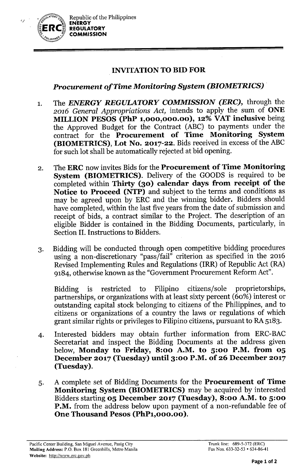

## INVITATIONTO BID FOR

## *Procurement of Time Monitoring System (BIOMETRICS) .*

- 1. The *ENERGY REGULATORY COMMISSION (ERC),* through the *2016 General Appropriations Act,* intends to apply the sum of ONE MILLION PESOS (PhP 1,000,000.00), 12% VAT inclusive being the Approved Budget for the Contract (ABC) to payments under the contract for the Procurement of Time Monitoring System (BIOMETRICS), Lot No. 2017-22. Bids received in excess of the ABC for such lot shall be automatically rejected at bid opening.
- 2. The ERC now invites Bids for the Procurement of Time Monitoring System (BIOMETRICS). Delivery of the GOODS is required to be completed within Thirty (30) calendar days from receipt of the Notice to Proceed (NTP) and subject to the terms and conditions as may be agreed upon by ERC and the winning bidder. Bidders should have completed, within the last five years from the date of submission and receipt of bids, a contract similar to the Project. The description of an eligible Bidder is contained in the Bidding Documents, particularly, in Section II. Instructions to Bidders.
- 3. Bidding will be conducted through open competitive bidding procedures using a non-discretionary "pass/fail" criterion as specified in the 2016 Revised Implementing Rules and Regulations (IRR) of Republic Act (RA) 9184, otherwise known as the "Government Procurement Reform Act".

Bidding is restricted to Filipino citizens/sole proprietorships, partnerships, or organizations with at least sixty percent (60%) interest or outstanding capital stock belonging to citizens of the Philippines, and to citizens or organizations of a country the laws or regulations of which grant similar rights or privileges to Filipino citizens, pursuant to RA 5183.

- 4. Interested bidders may obtain further information from ERC-BAC Secretariat and inspect the Bidding Documents at the address given below, Monday to Friday, 8:00 A.M. to 5:00 P.M. from 05 December 2017 (Tuesday) until 3:00 P.M. of 26 December 2017 (Tuesday).
- 5. A complete set of Bidding Documents for the Procurement of Time Monitoring System (BIOMETRICS) may be acquired by interested Bidders starting 05 December 2017 (Tuesday), 8:00 A.M. to 5:00 P.M. from the address below upon payment of a non-refundable fee of One Thousand Pesos (PhP1,000.00).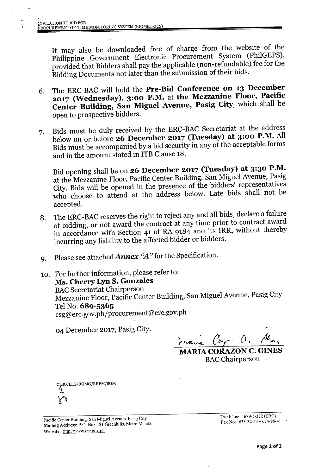It may also be downloaded free of charge from the website of the Philippine Government Electronic Procurement System (PhilGEPS), provided that Bidders shall pay the applicable (non-refundable) fee for the Bidding Documents not later than the submission of their bids.

- 6. The ERC-BAC will hold the **Pre-Bid Conference on 13 December 2017 (Wednesday), 3:00 P.M. at the Mezzanine Floor, Pacific Center Building, San Miguel Avenue, Pasig City,** which shall be open to prospective bidders.
- 7. Bids must be duly received by the ERC-BAC Secretariat at the address below on or before **26 December 2017 (Tuesday) at 3:00 P.M.** All Bids must be accompanied by a bid security in any of the acceptable forms and in the amount stated in ITB Clause 18.

Bid opening shall be on **26 December 2017 (Tuesday) at 3:30 P.M.** at the Mezzanine Floor, Pacific Center Building, San Miguel Avenue, Pasig City. Bids will be opened in the presence of the bidders' representatives who choose to attend at the address below. Late bids shall not be accepted.

- 8. The ERC-BAC reserves the right to reject any and all bids, declare a failure of bidding, or not award the contract at any time prior to contract award in accordance with Section 41 of RA 9184 and its IRR, without thereby incurring any liability to the affected bidder or bidders.
- 9. Please see attached *Annex "A"* for the Specification.
- 10. For further information, please refer to: **Ms. Cherry Lyn S. Gonzales BAC Secretariat Chairperson** Mezzanine Floor, Pacific Center Building, San Miguel Avenue, Pasig City Tel No. **689-5365** csg@erc.gov.ph/procurement@erc.gov.ph

04 December 2017, Pasig City.

 $\frac{1}{2}$   $\frac{1}{2}$   $\frac{1}{2}$   $\frac{1}{2}$   $\frac{1}{2}$   $\frac{1}{2}$   $\frac{1}{2}$ 

**MARIACO ON C. GINES BAC** Chairperson

SG/LLG/RGMG/RRFM/<mark>SO</mark>M

Pacific Center Building, San Miguel Avenue, Pasig City Mailing Address: P.O. Box 181 Greenhills, Metro Manila Website: <http://www.erc.gov.ph>

Trunk line: 689-5-372 (ERC) Fax Nos. 633-32-53 • 634-86-41